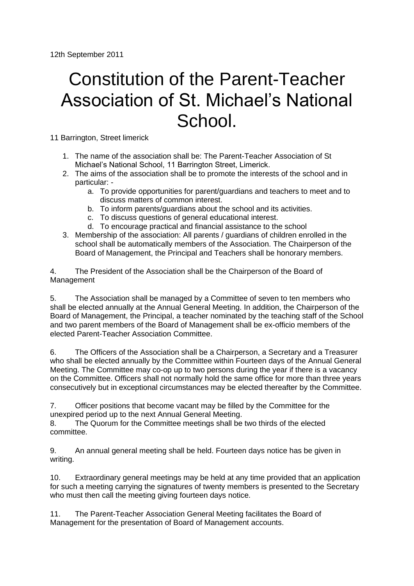## Constitution of the Parent-Teacher Association of St. Michael's National School.

11 Barrington, Street limerick

- 1. The name of the association shall be: The Parent-Teacher Association of St Michael's National School, 11 Barrington Street, Limerick.
- 2. The aims of the association shall be to promote the interests of the school and in particular:
	- a. To provide opportunities for parent/guardians and teachers to meet and to discuss matters of common interest.
	- b. To inform parents/guardians about the school and its activities.
	- c. To discuss questions of general educational interest.
	- d. To encourage practical and financial assistance to the school
- 3. Membership of the association: All parents / guardians of children enrolled in the school shall be automatically members of the Association. The Chairperson of the Board of Management, the Principal and Teachers shall be honorary members.

4. The President of the Association shall be the Chairperson of the Board of Management

5. The Association shall be managed by a Committee of seven to ten members who shall be elected annually at the Annual General Meeting. In addition, the Chairperson of the Board of Management, the Principal, a teacher nominated by the teaching staff of the School and two parent members of the Board of Management shall be ex-officio members of the elected Parent-Teacher Association Committee.

6. The Officers of the Association shall be a Chairperson, a Secretary and a Treasurer who shall be elected annually by the Committee within Fourteen days of the Annual General Meeting. The Committee may co-op up to two persons during the year if there is a vacancy on the Committee. Officers shall not normally hold the same office for more than three years consecutively but in exceptional circumstances may be elected thereafter by the Committee.

7. Officer positions that become vacant may be filled by the Committee for the unexpired period up to the next Annual General Meeting.

8. The Quorum for the Committee meetings shall be two thirds of the elected committee.

9. An annual general meeting shall be held. Fourteen days notice has be given in writing.

10. Extraordinary general meetings may be held at any time provided that an application for such a meeting carrying the signatures of twenty members is presented to the Secretary who must then call the meeting giving fourteen days notice.

11. The Parent-Teacher Association General Meeting facilitates the Board of Management for the presentation of Board of Management accounts.